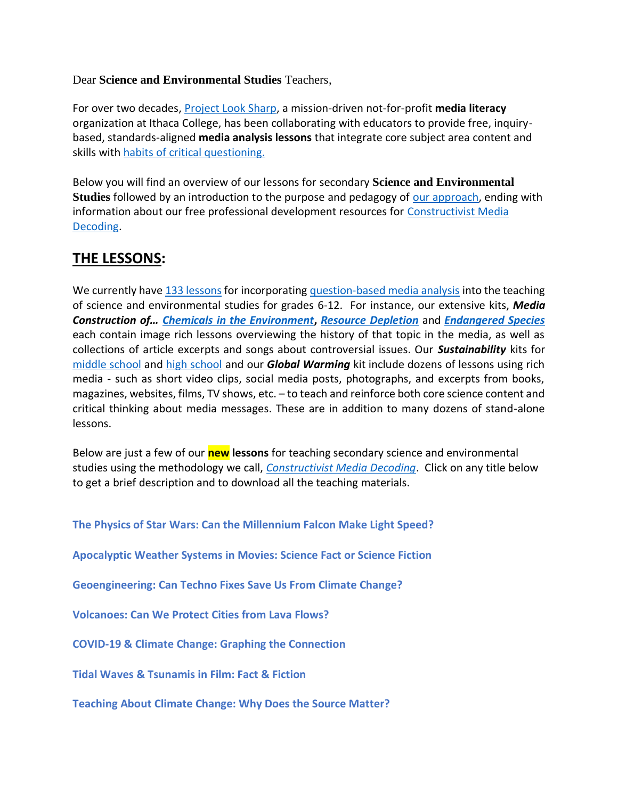Dear **Science and Environmental Studies** Teachers,

For over two decades, [Project Look Sharp,](https://www.projectlooksharp.org/) a mission-driven not-for-profit **media literacy** organization at Ithaca College, has been collaborating with educators to provide free, inquirybased, standards-aligned **media analysis lessons** that integrate core subject area content and skills with [habits of critical questioning.](https://projectlooksharp.org/Resources%202/Key-Questions-for-Decoding%20Dec-21.pdf)

Below you will find an overview of our lessons for secondary **Science and Environmental Studies** followed by an introduction to the purpose and pedagogy of [our approach,](https://projectlooksharp.org/our-approach.php) ending with information about our free professional development resources for [Constructivist Media](https://projectlooksharp.org/our-approach.php#Constructivist)  [Decoding.](https://projectlooksharp.org/our-approach.php#Constructivist)

## **THE LESSONS:**

We currently hav[e 133 lessons](https://www.projectlooksharp.org/search-result.php?limit=10&search%5Bkeyword%5D=&search%5Bcategory%5D=lessons&search_filter%5Bresource_subject_area%5D%5B%5D=environmental+studies&search_filter%5Bresource_subject_area%5D%5B%5D=life+sciences&search_filter%5Bresource_subject_area%5D%5B%5D=physical+sciences&search_filter%5Bresource_grade_level%5D%5B%5D=middle+school&search_filter%5Bresource_grade_level%5D%5B%5D=high+school) for incorporatin[g question-based media analysis](https://projectlooksharp.org/our-approach.php#Constructivist) into the teaching of science and environmental studies for grades 6-12. For instance, our extensive kits, *Media Construction of… [Chemicals in the Environment](https://projectlooksharp.org/front_end.php?kit_id=13)***,** *[Resource Depletion](https://projectlooksharp.org/front_end.php?kit_id=22)* and *[Endangered Species](https://projectlooksharp.org/front_end.php?kit_id=3)* each contain image rich lessons overviewing the history of that topic in the media, as well as collections of article excerpts and songs about controversial issues. Our *Sustainability* kits for [middle school](https://projectlooksharp.org/front_end.php?kit_id=24) and [high school](https://projectlooksharp.org/front_end.php?kit_id=8) and our *Global Warming* kit include dozens of lessons using rich media - such as short video clips, social media posts, photographs, and excerpts from books, magazines, websites, films, TV shows, etc. – to teach and reinforce both core science content and critical thinking about media messages. These are in addition to many dozens of stand-alone lessons.

Below are just a few of our **new lessons** for teaching secondary science and environmental studies using the methodology we call, *[Constructivist Media Decoding](https://projectlooksharp.org/our-approach.php#Constructivist)*. Click on any title below to get a brief description and to download all the teaching materials.

**The Physics of Star Wars: Can the [Millennium](https://projectlooksharp.org/front_end_resource.php?resource_id=482) Falcon Make Light Speed?**

**[Apocalyptic](https://projectlooksharp.org/front_end_resource.php?resource_id=436) Weather Systems in Movies: Science Fact or Science Fiction**

**[Geoengineering:](https://projectlooksharp.org/front_end_resource.php?resource_id=421) Can Techno Fixes Save Us From Climate Change?**

**[Volcanoes:](https://projectlooksharp.org/front_end_resource.php?resource_id=433) Can We Protect Cities from Lava Flows?**

**COVID-19 & Climate Change: Graphing the [Connection](https://projectlooksharp.org/front_end_resource.php?resource_id=505)**

**Tidal Waves & [Tsunamis](https://projectlooksharp.org/front_end_resource.php?resource_id=432) in Film: Fact & Fiction**

**[Teaching](https://projectlooksharp.org/front_end_resource.php?resource_id=416) About Climate Change: Why Does the Source Matter?**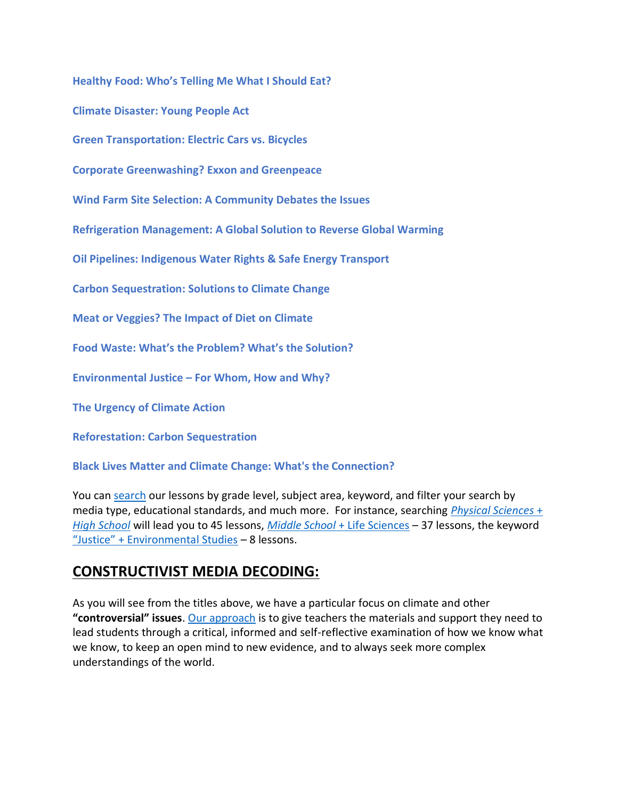**[Healthy](https://projectlooksharp.org/front_end_resource.php?resource_id=539) Food: Who's Telling Me What I Should Eat?**

**Climate [Disaster:](https://projectlooksharp.org/front_end_resource.php?resource_id=471) Young People Act**

**Green [Transportation:](https://projectlooksharp.org/front_end_resource.php?resource_id=398) Electric Cars vs. Bicycles**

**Corporate [Greenwashing?](https://projectlooksharp.org/front_end_resource.php?resource_id=429) Exxon and Greenpeace**

**Wind Farm Site Selection: A [Community](https://projectlooksharp.org/front_end_resource.php?resource_id=413) Debates the Issues**

**Refrigeration [Management:](https://projectlooksharp.org/front_end_resource.php?resource_id=450) A Global Solution to Reverse Global Warming**

**Oil Pipelines: [Indigenous](https://projectlooksharp.org/front_end_resource.php?resource_id=406) Water Rights & Safe Energy Transport**

**Carbon [Sequestration:](https://projectlooksharp.org/front_end_resource.php?resource_id=525) Solutions to Climate Change**

**Meat or [Veggies?](https://projectlooksharp.org/front_end_resource.php?resource_id=492) The Impact of Diet on Climate**

**Food Waste: What's the [Problem?](https://projectlooksharp.org/front_end_resource.php?resource_id=493) What's the Solution?**

**[Environmental](https://projectlooksharp.org/front_end_resource.php?resource_id=476) Justice – For Whom, How and Why?**

**The [Urgency](https://projectlooksharp.org/front_end_resource.php?resource_id=427) of Climate Action**

**[Reforestation:](https://projectlooksharp.org/front_end_resource.php?resource_id=423) Carbon Sequestration**

**Black Lives Matter and Climate Change: What's the [Connection?](https://projectlooksharp.org/front_end_resource.php?resource_id=426)**

You can [search](https://projectlooksharp.org/search-result.php?search%5Bcategory%5D=all&search%5Bkeyword%5D=&search_filter%5Bresource_subject_area%5D%5B%5D=&search_filter%5Bresource_grade_level%5D%5B%5D=) our lessons by grade level, subject area, keyword, and filter your search by media type, educational standards, and much more. For instance, searching *[Physical Sciences](https://projectlooksharp.org/search-result.php?limit=10&search%5Bkeyword%5D=&search%5Bcategory%5D=all&search_filter%5Bresource_subject_area%5D%5B%5D=physical+sciences&search_filter%5Bresource_grade_level%5D%5B%5D=high+school)* + *[High School](https://projectlooksharp.org/search-result.php?limit=10&search%5Bkeyword%5D=&search%5Bcategory%5D=all&search_filter%5Bresource_subject_area%5D%5B%5D=physical+sciences&search_filter%5Bresource_grade_level%5D%5B%5D=high+school)* will lead you to 45 lessons, *Middle School* [+ Life Sciences](https://projectlooksharp.org/search-result.php?limit=10&search%5Bkeyword%5D=&search%5Bcategory%5D=all&search_filter%5Bresource_subject_area%5D%5B%5D=life+sciences&search_filter%5Bresource_grade_level%5D%5B%5D=middle+school) – 37 lessons, the keyword ["Justice" + Environmental Studies](https://projectlooksharp.org/search-result.php?limit=10&search%5Bkeyword%5D=justice&search%5Bcategory%5D=lessons&search_filter%5Bresource_subject_area%5D%5B%5D=environmental+studies) – 8 lessons.

## **CONSTRUCTIVIST MEDIA DECODING:**

As you will see from the titles above, we have a particular focus on climate and other **"controversial" issues**. [Our approach](https://www.projectlooksharp.org/blog/2020/05/12/teaching-critical-thinking-and-protecting-the-science/) is to give teachers the materials and support they need to lead students through a critical, informed and self-reflective examination of how we know what we know, to keep an open mind to new evidence, and to always seek more complex understandings of the world.